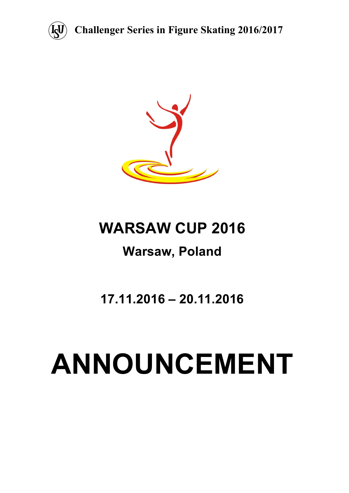

**Challenger Series in Figure Skating 2016/2017**



# **WARSAW CUP 2016**

# **Warsaw, Poland**

**17.11.2016 – 20.11.2016**

# **ANNOUNCEMENT**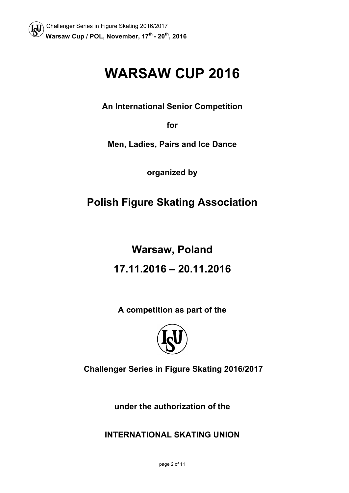# **WARSAW CUP 2016**

**An International Senior Competition** 

**for**

**Men, Ladies, Pairs and Ice Dance**

**organized by**

# **Polish Figure Skating Association**

# **Warsaw, Poland**

# **17.11.2016 – 20.11.2016**

**A competition as part of the**



**Challenger Series in Figure Skating 2016/2017**

**under the authorization of the** 

**INTERNATIONAL SKATING UNION**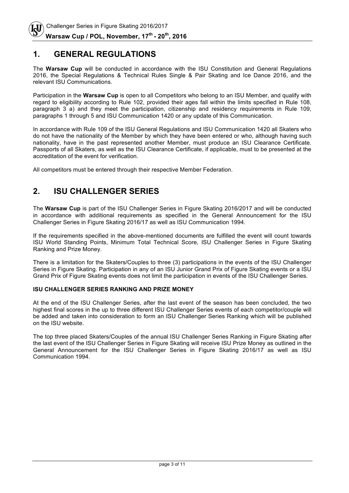#### **1. GENERAL REGULATIONS**

The **Warsaw Cup** will be conducted in accordance with the ISU Constitution and General Regulations 2016, the Special Regulations & Technical Rules Single & Pair Skating and Ice Dance 2016, and the relevant ISU Communications.

Participation in the **Warsaw Cup** is open to all Competitors who belong to an ISU Member, and qualify with regard to eligibility according to Rule 102, provided their ages fall within the limits specified in Rule 108, paragraph 3 a) and they meet the participation, citizenship and residency requirements in Rule 109, paragraphs 1 through 5 and ISU Communication 1420 or any update of this Communication.

In accordance with Rule 109 of the ISU General Regulations and ISU Communication 1420 all Skaters who do not have the nationality of the Member by which they have been entered or who, although having such nationality, have in the past represented another Member, must produce an ISU Clearance Certificate. Passports of all Skaters, as well as the ISU Clearance Certificate, if applicable, must to be presented at the accreditation of the event for verification.

All competitors must be entered through their respective Member Federation.

# **2. ISU CHALLENGER SERIES**

The **Warsaw Cup** is part of the ISU Challenger Series in Figure Skating 2016/2017 and will be conducted in accordance with additional requirements as specified in the General Announcement for the ISU Challenger Series in Figure Skating 2016/17 as well as ISU Communication 1994.

If the requirements specified in the above-mentioned documents are fulfilled the event will count towards ISU World Standing Points, Minimum Total Technical Score, ISU Challenger Series in Figure Skating Ranking and Prize Money.

There is a limitation for the Skaters/Couples to three (3) participations in the events of the ISU Challenger Series in Figure Skating. Participation in any of an ISU Junior Grand Prix of Figure Skating events or a ISU Grand Prix of Figure Skating events does not limit the participation in events of the ISU Challenger Series.

#### **ISU CHALLENGER SERIES RANKING AND PRIZE MONEY**

At the end of the ISU Challenger Series, after the last event of the season has been concluded, the two highest final scores in the up to three different ISU Challenger Series events of each competitor/couple will be added and taken into consideration to form an ISU Challenger Series Ranking which will be published on the ISU website.

The top three placed Skaters/Couples of the annual ISU Challenger Series Ranking in Figure Skating after the last event of the ISU Challenger Series in Figure Skating will receive ISU Prize Money as outlined in the General Announcement for the ISU Challenger Series in Figure Skating 2016/17 as well as ISU Communication 1994.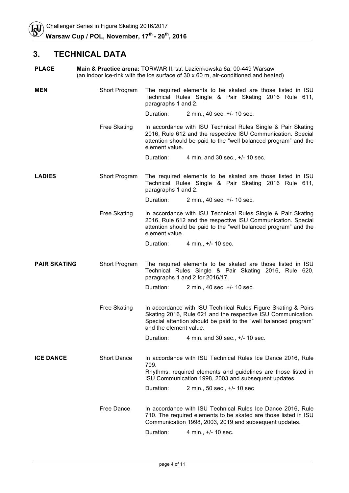## **3. TECHNICAL DATA**

| <b>PLACE</b>        |                     | Main & Practice arena: TORWAR II, str. Lazienkowska 6a, 00-449 Warsaw<br>(an indoor ice-rink with the ice surface of $30 \times 60$ m, air-conditioned and heated)                                                         |                                                                                                                                                                                      |  |
|---------------------|---------------------|----------------------------------------------------------------------------------------------------------------------------------------------------------------------------------------------------------------------------|--------------------------------------------------------------------------------------------------------------------------------------------------------------------------------------|--|
| <b>MEN</b>          | Short Program       | paragraphs 1 and 2.                                                                                                                                                                                                        | The required elements to be skated are those listed in ISU<br>Technical Rules Single & Pair Skating 2016 Rule 611,                                                                   |  |
|                     |                     | Duration:                                                                                                                                                                                                                  | 2 min., 40 sec. +/- 10 sec.                                                                                                                                                          |  |
|                     | <b>Free Skating</b> | In accordance with ISU Technical Rules Single & Pair Skating<br>2016, Rule 612 and the respective ISU Communication. Special<br>attention should be paid to the "well balanced program" and the<br>element value.          |                                                                                                                                                                                      |  |
|                     |                     | Duration:                                                                                                                                                                                                                  | 4 min. and 30 sec., +/- 10 sec.                                                                                                                                                      |  |
| <b>LADIES</b>       | Short Program       |                                                                                                                                                                                                                            | The required elements to be skated are those listed in ISU<br>Technical Rules Single & Pair Skating 2016 Rule 611,<br>paragraphs 1 and 2.                                            |  |
|                     |                     | Duration:                                                                                                                                                                                                                  | 2 min., 40 sec. +/- 10 sec.                                                                                                                                                          |  |
|                     | <b>Free Skating</b> | In accordance with ISU Technical Rules Single & Pair Skating<br>2016, Rule 612 and the respective ISU Communication. Special<br>attention should be paid to the "well balanced program" and the<br>element value.          |                                                                                                                                                                                      |  |
|                     |                     | Duration:                                                                                                                                                                                                                  | 4 min., +/- 10 sec.                                                                                                                                                                  |  |
| <b>PAIR SKATING</b> | Short Program       | The required elements to be skated are those listed in ISU<br>Technical Rules Single & Pair Skating 2016, Rule 620,<br>paragraphs 1 and 2 for 2016/17.                                                                     |                                                                                                                                                                                      |  |
|                     |                     | Duration:                                                                                                                                                                                                                  | 2 min., 40 sec. +/- 10 sec.                                                                                                                                                          |  |
|                     | <b>Free Skating</b> | In accordance with ISU Technical Rules Figure Skating & Pairs<br>Skating 2016, Rule 621 and the respective ISU Communication.<br>Special attention should be paid to the "well balanced program"<br>and the element value. |                                                                                                                                                                                      |  |
|                     |                     | Duration:                                                                                                                                                                                                                  | 4 min. and 30 sec., $+/-$ 10 sec.                                                                                                                                                    |  |
| <b>ICE DANCE</b>    | <b>Short Dance</b>  | 709.                                                                                                                                                                                                                       | In accordance with ISU Technical Rules Ice Dance 2016, Rule<br>Rhythms, required elements and guidelines are those listed in<br>ISU Communication 1998, 2003 and subsequent updates. |  |
|                     |                     | Duration:                                                                                                                                                                                                                  | 2 min., 50 sec., +/- 10 sec                                                                                                                                                          |  |
|                     |                     |                                                                                                                                                                                                                            |                                                                                                                                                                                      |  |
|                     | Free Dance          | In accordance with ISU Technical Rules Ice Dance 2016, Rule<br>710. The required elements to be skated are those listed in ISU<br>Communication 1998, 2003, 2019 and subsequent updates.                                   |                                                                                                                                                                                      |  |
|                     |                     | Duration:                                                                                                                                                                                                                  | 4 min., +/- 10 sec.                                                                                                                                                                  |  |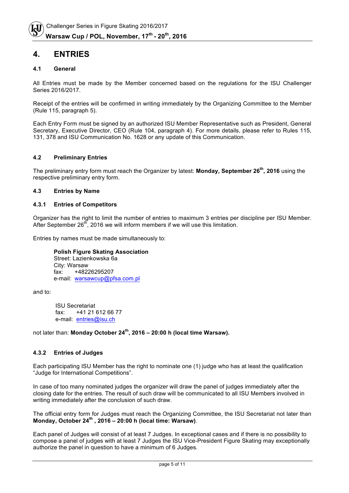#### **4. ENTRIES**

#### **4.1 General**

All Entries must be made by the Member concerned based on the regulations for the ISU Challenger Series 2016/2017.

Receipt of the entries will be confirmed in writing immediately by the Organizing Committee to the Member (Rule 115, paragraph 5).

Each Entry Form must be signed by an authorized ISU Member Representative such as President, General Secretary, Executive Director, CEO (Rule 104, paragraph 4). For more details, please refer to Rules 115, 131, 378 and ISU Communication No. 1628 or any update of this Communication.

#### **4.2 Preliminary Entries**

The preliminary entry form must reach the Organizer by latest: **Monday, September 26th, 2016** using the respective preliminary entry form.

#### **4.3 Entries by Name**

#### **4.3.1 Entries of Competitors**

Organizer has the right to limit the number of entries to maximum 3 entries per discipline per ISU Member. After September  $26^{th}$ , 2016 we will inform members if we will use this limitation.

Entries by names must be made simultaneously to:

**Polish Figure Skating Association** Street: Lazienkowska 6a City: Warsaw fax: +48226295207 e-mail: warsawcup@pfsa.com.pl

and to:

ISU Secretariat fax: +41 21 612 66 77 e-mail: entries@isu.ch

not later than: **Monday October 24th, 2016 – 20:00 h (local time Warsaw).**

#### **4.3.2 Entries of Judges**

Each participating ISU Member has the right to nominate one (1) judge who has at least the qualification "Judge for International Competitions".

In case of too many nominated judges the organizer will draw the panel of judges immediately after the closing date for the entries. The result of such draw will be communicated to all ISU Members involved in writing immediately after the conclusion of such draw.

The official entry form for Judges must reach the Organizing Committee, the ISU Secretariat not later than **Monday, October 24th , 2016 – 20:00 h (local time: Warsaw)**.

Each panel of Judges will consist of at least 7 Judges. In exceptional cases and if there is no possibility to compose a panel of judges with at least 7 Judges the ISU Vice-President Figure Skating may exceptionally authorize the panel in question to have a minimum of 6 Judges.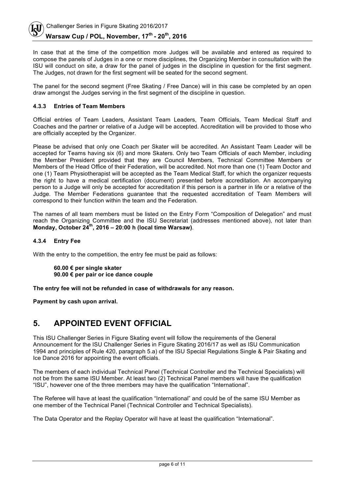In case that at the time of the competition more Judges will be available and entered as required to compose the panels of Judges in a one or more disciplines, the Organizing Member in consultation with the ISU will conduct on site, a draw for the panel of judges in the discipline in question for the first segment. The Judges, not drawn for the first segment will be seated for the second segment.

The panel for the second segment (Free Skating / Free Dance) will in this case be completed by an open draw amongst the Judges serving in the first segment of the discipline in question.

#### **4.3.3 Entries of Team Members**

Official entries of Team Leaders, Assistant Team Leaders, Team Officials, Team Medical Staff and Coaches and the partner or relative of a Judge will be accepted. Accreditation will be provided to those who are officially accepted by the Organizer.

Please be advised that only one Coach per Skater will be accredited. An Assistant Team Leader will be accepted for Teams having six (6) and more Skaters. Only two Team Officials of each Member, including the Member President provided that they are Council Members, Technical Committee Members or Members of the Head Office of their Federation, will be accredited. Not more than one (1) Team Doctor and one (1) Team Physiotherapist will be accepted as the Team Medical Staff, for which the organizer requests the right to have a medical certification (document) presented before accreditation. An accompanying person to a Judge will only be accepted for accreditation if this person is a partner in life or a relative of the Judge. The Member Federations guarantee that the requested accreditation of Team Members will correspond to their function within the team and the Federation.

The names of all team members must be listed on the Entry Form "Composition of Delegation" and must reach the Organizing Committee and the ISU Secretariat (addresses mentioned above), not later than **Monday, October 24th, 2016 – 20:00 h (local time Warsaw)**.

#### **4.3.4 Entry Fee**

With the entry to the competition, the entry fee must be paid as follows:

**60.00 € per single skater 90.00 € per pair or ice dance couple**

**The entry fee will not be refunded in case of withdrawals for any reason.** 

**Payment by cash upon arrival.**

#### **5. APPOINTED EVENT OFFICIAL**

This ISU Challenger Series in Figure Skating event will follow the requirements of the General Announcement for the ISU Challenger Series in Figure Skating 2016/17 as well as ISU Communication 1994 and principles of Rule 420, paragraph 5.a) of the ISU Special Regulations Single & Pair Skating and Ice Dance 2016 for appointing the event officials.

The members of each individual Technical Panel (Technical Controller and the Technical Specialists) will not be from the same ISU Member. At least two (2) Technical Panel members will have the qualification "ISU", however one of the three members may have the qualification "International".

The Referee will have at least the qualification "International" and could be of the same ISU Member as one member of the Technical Panel (Technical Controller and Technical Specialists).

The Data Operator and the Replay Operator will have at least the qualification "International".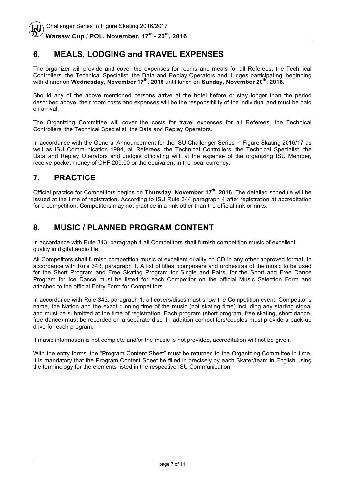# **6. MEALS, LODGING and TRAVEL EXPENSES**

The organizer will provide and cover the expenses for rooms and meals for all Referees, the Technical Controllers, the Technical Specialist, the Data and Replay Operators and Judges participating, beginning with dinner on **Wednesday, November 17th, 2016** until lunch on **Sunday, November 20th, 2016**.

Should any of the above mentioned persons arrive at the hotel before or stay longer than the period described above, their room costs and expenses will be the responsibility of the individual and must be paid on arrival.

The Organizing Committee will cover the costs for travel expenses for all Referees, the Technical Controllers, the Technical Specialist, the Data and Replay Operators.

In accordance with the General Announcement for the ISU Challenger Series in Figure Skating 2016/17 as well as ISU Communication 1994, all Referees, the Technical Controllers, the Technical Specialist, the Data and Replay Operators and Judges officiating will, at the expense of the organizing ISU Member, receive pocket money of CHF 200.00 or the equivalent in the local currency.

# **7. PRACTICE**

Official practice for Competitors begins on **Thursday, November 17th, 2016**. The detailed schedule will be issued at the time of registration. According to ISU Rule 344 paragraph 4 after registration at accreditation for a competition, Competitors may not practice in a rink other than the official rink or rinks.

## **8. MUSIC / PLANNED PROGRAM CONTENT**

In accordance with Rule 343, paragraph 1 all Competitors shall furnish competition music of excellent quality in digital audio file.

All Competitors shall furnish competition music of excellent quality on CD in any other approved format, in accordance with Rule 343, paragraph 1. A list of titles, composers and orchestras of the music to be used for the Short Program and Free Skating Program for Single and Pairs, for the Short and Free Dance Program for Ice Dance must be listed for each Competitor on the official Music Selection Form and attached to the official Entry Form for Competitors.

In accordance with Rule 343, paragraph 1, all covers/discs must show the Competition event, Competitor's name, the Nation and the exact running time of the music (not skating time) including any starting signal and must be submitted at the time of registration. Each program (short program, free skating, short dance, free dance) must be recorded on a separate disc. In addition competitors/couples must provide a back-up drive for each program.

If music information is not complete and/or the music is not provided, accreditation will not be given.

With the entry forms, the "Program Content Sheet" must be returned to the Organizing Committee in time. It is mandatory that the Program Content Sheet be filled in precisely by each Skater/team in English using the terminology for the elements listed in the respective ISU Communication.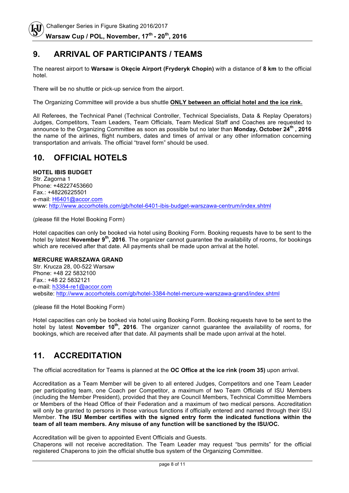## **9. ARRIVAL OF PARTICIPANTS / TEAMS**

The nearest airport to **Warsaw** is **Okęcie Airport (Fryderyk Chopin)** with a distance of **8 km** to the official hotel.

There will be no shuttle or pick-up service from the airport.

The Organizing Committee will provide a bus shuttle **ONLY between an official hotel and the ice rink.** 

All Referees, the Technical Panel (Technical Controller, Technical Specialists, Data & Replay Operators) Judges, Competitors, Team Leaders, Team Officials, Team Medical Staff and Coaches are requested to announce to the Organizing Committee as soon as possible but no later than **Monday, October 24th , 2016** the name of the airlines, flight numbers, dates and times of arrival or any other information concerning transportation and arrivals. The official "travel form" should be used.

# **10. OFFICIAL HOTELS**

#### **HOTEL IBIS BUDGET**

Str. Zagorna 1 Phone: +48227453660 Fax.: +48226225501 e-mail: H6401@accor.com www: http://www.accorhotels.com/gb/hotel-6401-ibis-budget-warszawa-centrum/index.shtml

(please fill the Hotel Booking Form)

Hotel capacities can only be booked via hotel using Booking Form. Booking requests have to be sent to the hotel by latest **November 9th, 2016**. The organizer cannot guarantee the availability of rooms, for bookings which are received after that date. All payments shall be made upon arrival at the hotel.

#### **MERCURE WARSZAWA GRAND**

Str. Krucza 28, 00-522 Warsaw Phone: +48 22 5832100 Fax.: +48 22 5832121 e-mail: h3384-re1@accor.com website: http://www.accorhotels.com/gb/hotel-3384-hotel-mercure-warszawa-grand/index.shtml

(please fill the Hotel Booking Form)

Hotel capacities can only be booked via hotel using Booking Form. Booking requests have to be sent to the hotel by latest **November 10th, 2016**. The organizer cannot guarantee the availability of rooms, for bookings, which are received after that date. All payments shall be made upon arrival at the hotel.

## **11. ACCREDITATION**

The official accreditation for Teams is planned at the **OC Office at the ice rink (room 35)** upon arrival.

Accreditation as a Team Member will be given to all entered Judges, Competitors and one Team Leader per participating team, one Coach per Competitor, a maximum of two Team Officials of ISU Members (including the Member President), provided that they are Council Members, Technical Committee Members or Members of the Head Office of their Federation and a maximum of two medical persons. Accreditation will only be granted to persons in those various functions if officially entered and named through their ISU Member. **The ISU Member certifies with the signed entry form the indicated functions within the team of all team members. Any misuse of any function will be sanctioned by the ISU/OC.**

Accreditation will be given to appointed Event Officials and Guests.

Chaperons will not receive accreditation. The Team Leader may request "bus permits" for the official registered Chaperons to join the official shuttle bus system of the Organizing Committee.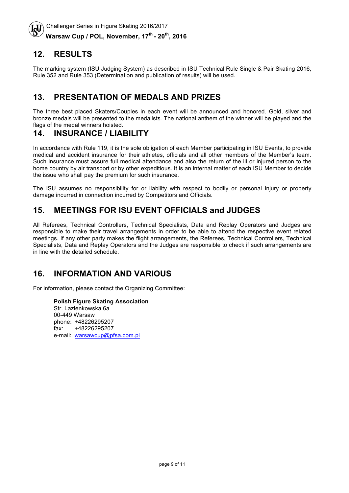#### **12. RESULTS**

The marking system (ISU Judging System) as described in ISU Technical Rule Single & Pair Skating 2016, Rule 352 and Rule 353 (Determination and publication of results) will be used.

#### **13. PRESENTATION OF MEDALS AND PRIZES**

The three best placed Skaters/Couples in each event will be announced and honored. Gold, silver and bronze medals will be presented to the medalists. The national anthem of the winner will be played and the flags of the medal winners hoisted.

#### **14. INSURANCE / LIABILITY**

In accordance with Rule 119, it is the sole obligation of each Member participating in ISU Events, to provide medical and accident insurance for their athletes, officials and all other members of the Member's team. Such insurance must assure full medical attendance and also the return of the ill or injured person to the home country by air transport or by other expeditious. It is an internal matter of each ISU Member to decide the issue who shall pay the premium for such insurance.

The ISU assumes no responsibility for or liability with respect to bodily or personal injury or property damage incurred in connection incurred by Competitors and Officials.

## **15. MEETINGS FOR ISU EVENT OFFICIALS and JUDGES**

All Referees, Technical Controllers, Technical Specialists, Data and Replay Operators and Judges are responsible to make their travel arrangements in order to be able to attend the respective event related meetings. If any other party makes the flight arrangements, the Referees, Technical Controllers, Technical Specialists, Data and Replay Operators and the Judges are responsible to check if such arrangements are in line with the detailed schedule.

## **16. INFORMATION AND VARIOUS**

For information, please contact the Organizing Committee:

**Polish Figure Skating Association** Str. Lazienkowska 6a 00-449 Warsaw phone: +48226295207 fax: +48226295207 e-mail: warsawcup@pfsa.com.pl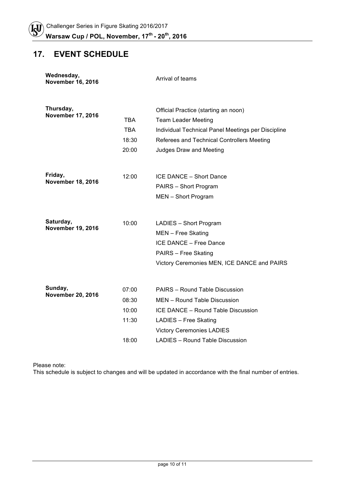# **17. EVENT SCHEDULE**

| Wednesday,<br><b>November 16, 2016</b> |                                           | Arrival of teams                                                                                                                                                                                     |
|----------------------------------------|-------------------------------------------|------------------------------------------------------------------------------------------------------------------------------------------------------------------------------------------------------|
| Thursday,<br><b>November 17, 2016</b>  | TBA<br><b>TBA</b><br>18:30<br>20:00       | Official Practice (starting an noon)<br><b>Team Leader Meeting</b><br>Individual Technical Panel Meetings per Discipline<br>Referees and Technical Controllers Meeting<br>Judges Draw and Meeting    |
| Friday,<br><b>November 18, 2016</b>    | 12:00                                     | ICE DANCE - Short Dance<br>PAIRS - Short Program<br>MEN - Short Program                                                                                                                              |
| Saturday,<br><b>November 19, 2016</b>  | 10:00                                     | LADIES - Short Program<br>MEN - Free Skating<br>ICE DANCE - Free Dance<br><b>PAIRS - Free Skating</b><br>Victory Ceremonies MEN, ICE DANCE and PAIRS                                                 |
| Sunday,<br><b>November 20, 2016</b>    | 07:00<br>08:30<br>10:00<br>11:30<br>18:00 | PAIRS - Round Table Discussion<br>MEN - Round Table Discussion<br>ICE DANCE - Round Table Discussion<br>LADIES - Free Skating<br><b>Victory Ceremonies LADIES</b><br>LADIES - Round Table Discussion |

Please note:

This schedule is subject to changes and will be updated in accordance with the final number of entries.